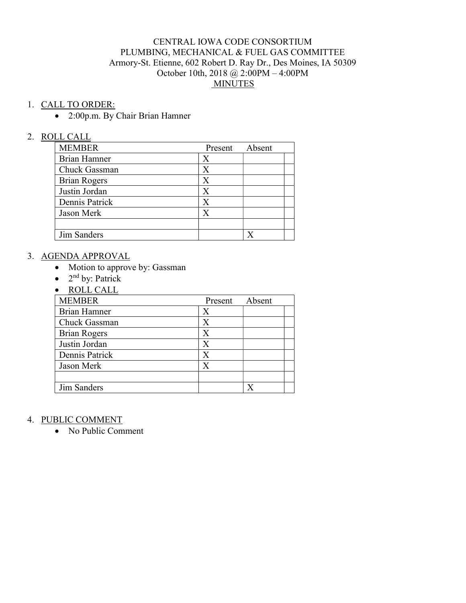#### CENTRAL IOWA CODE CONSORTIUM PLUMBING, MECHANICAL & FUEL GAS COMMITTEE Armory-St. Etienne, 602 Robert D. Ray Dr., Des Moines, IA 50309 October 10th, 2018 @ 2:00PM – 4:00PM MINUTES

#### 1. CALL TO ORDER:

2:00p.m. By Chair Brian Hamner

#### 2. ROLL CALL

| <b>MEMBER</b>       | Present | Absent |  |
|---------------------|---------|--------|--|
| Brian Hamner        | X       |        |  |
| Chuck Gassman       | X       |        |  |
| <b>Brian Rogers</b> | X       |        |  |
| Justin Jordan       | X       |        |  |
| Dennis Patrick      |         |        |  |
| Jason Merk          |         |        |  |
|                     |         |        |  |
| Jim Sanders         |         |        |  |

#### 3. AGENDA APPROVAL

- Motion to approve by: Gassman
- $\bullet$  2<sup>nd</sup> by: Patrick
- ROLL CALL

| <b>MEMBER</b>       | Present | Absent |  |
|---------------------|---------|--------|--|
| <b>Brian Hamner</b> | Х       |        |  |
| Chuck Gassman       | $\rm X$ |        |  |
| <b>Brian Rogers</b> | $\rm X$ |        |  |
| Justin Jordan       | $\rm X$ |        |  |
| Dennis Patrick      | X       |        |  |
| Jason Merk          | X       |        |  |
|                     |         |        |  |
| Jim Sanders         |         |        |  |

#### 4. PUBLIC COMMENT

• No Public Comment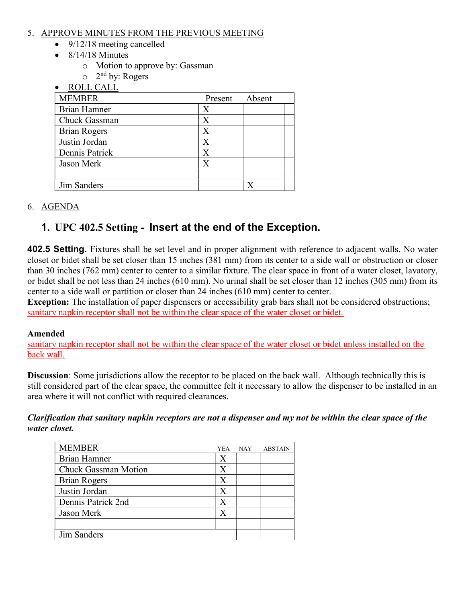### 5. APPROVE MINUTES FROM THE PREVIOUS MEETING

- $\bullet$  9/12/18 meeting cancelled
- $\bullet$  8/14/18 Minutes
	- o Motion to approve by: Gassman
	- o 2 nd by: Rogers
- ROLL CALL

| <b>MEMBER</b>       | Present | Absent |  |
|---------------------|---------|--------|--|
| Brian Hamner        | X       |        |  |
| Chuck Gassman       |         |        |  |
| <b>Brian Rogers</b> |         |        |  |
| Justin Jordan       |         |        |  |
| Dennis Patrick      |         |        |  |
| Jason Merk          | X       |        |  |
|                     |         |        |  |
| Jim Sanders         |         |        |  |

## 6. AGENDA

# 1. UPC 402.5 Setting - Insert at the end of the Exception.

402.5 Setting. Fixtures shall be set level and in proper alignment with reference to adjacent walls. No water closet or bidet shall be set closer than 15 inches (381 mm) from its center to a side wall or obstruction or closer than 30 inches (762 mm) center to center to a similar fixture. The clear space in front of a water closet, lavatory, or bidet shall be not less than 24 inches (610 mm). No urinal shall be set closer than 12 inches (305 mm) from its center to a side wall or partition or closer than 24 inches (610 mm) center to center.

Exception: The installation of paper dispensers or accessibility grab bars shall not be considered obstructions; sanitary napkin receptor shall not be within the clear space of the water closet or bidet.

## Amended

sanitary napkin receptor shall not be within the clear space of the water closet or bidet unless installed on the back wall.

Discussion: Some jurisdictions allow the receptor to be placed on the back wall. Although technically this is still considered part of the clear space, the committee felt it necessary to allow the dispenser to be installed in an area where it will not conflict with required clearances.

### Clarification that sanitary napkin receptors are not a dispenser and my not be within the clear space of the water closet.

| <b>MEMBER</b>               | <b>YEA</b> | <b>NAY</b> | <b>ABSTAIN</b> |
|-----------------------------|------------|------------|----------------|
| <b>Brian Hamner</b>         | X          |            |                |
| <b>Chuck Gassman Motion</b> | X          |            |                |
| <b>Brian Rogers</b>         | X          |            |                |
| Justin Jordan               | X          |            |                |
| Dennis Patrick 2nd          | Х          |            |                |
| Jason Merk                  | X          |            |                |
|                             |            |            |                |
| Jim Sanders                 |            |            |                |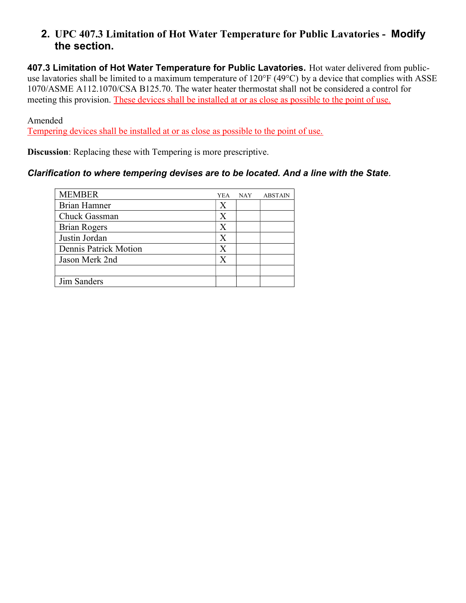## 2. UPC 407.3 Limitation of Hot Water Temperature for Public Lavatories - Modify the section.

407.3 Limitation of Hot Water Temperature for Public Lavatories. Hot water delivered from publicuse lavatories shall be limited to a maximum temperature of 120°F (49°C) by a device that complies with ASSE 1070/ASME A112.1070/CSA B125.70. The water heater thermostat shall not be considered a control for meeting this provision. These devices shall be installed at or as close as possible to the point of use.

Amended

Tempering devices shall be installed at or as close as possible to the point of use.

Discussion: Replacing these with Tempering is more prescriptive.

## Clarification to where tempering devises are to be located. And a line with the State.

| YEA. | <b>NAY</b> | <b>ABSTAIN</b> |
|------|------------|----------------|
| Х    |            |                |
| X    |            |                |
| Х    |            |                |
| Х    |            |                |
| X    |            |                |
| Х    |            |                |
|      |            |                |
|      |            |                |
|      |            |                |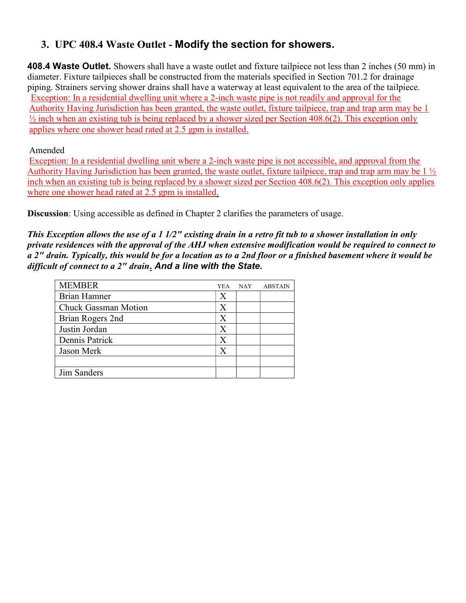# 3. UPC 408.4 Waste Outlet - Modify the section for showers.

408.4 Waste Outlet. Showers shall have a waste outlet and fixture tailpiece not less than 2 inches (50 mm) in diameter. Fixture tailpieces shall be constructed from the materials specified in Section 701.2 for drainage piping. Strainers serving shower drains shall have a waterway at least equivalent to the area of the tailpiece. Exception: In a residential dwelling unit where a 2-inch waste pipe is not readily and approval for the Authority Having Jurisdiction has been granted, the waste outlet, fixture tailpiece, trap and trap arm may be 1  $\frac{1}{2}$  inch when an existing tub is being replaced by a shower sized per Section 408.6(2). This exception only applies where one shower head rated at 2.5 gpm is installed.

### Amended

Exception: In a residential dwelling unit where a 2-inch waste pipe is not accessible, and approval from the Authority Having Jurisdiction has been granted, the waste outlet, fixture tailpiece, trap and trap arm may be 1 ½ inch when an existing tub is being replaced by a shower sized per Section 408.6(2). This exception only applies where one shower head rated at 2.5 gpm is installed.

Discussion: Using accessible as defined in Chapter 2 clarifies the parameters of usage.

This Exception allows the use of a 1 1/2" existing drain in a retro fit tub to a shower installation in only private residences with the approval of the AHJ when extensive modification would be required to connect to a 2" drain. Typically, this would be for a location as to a 2nd floor or a finished basement where it would be difficult of connect to a  $2<sup>n</sup>$  drain. And a line with the State.

| YEA | <b>NAY</b> | <b>ABSTAIN</b> |
|-----|------------|----------------|
| Х   |            |                |
| X   |            |                |
| X   |            |                |
| X   |            |                |
| X   |            |                |
| X   |            |                |
|     |            |                |
|     |            |                |
|     |            |                |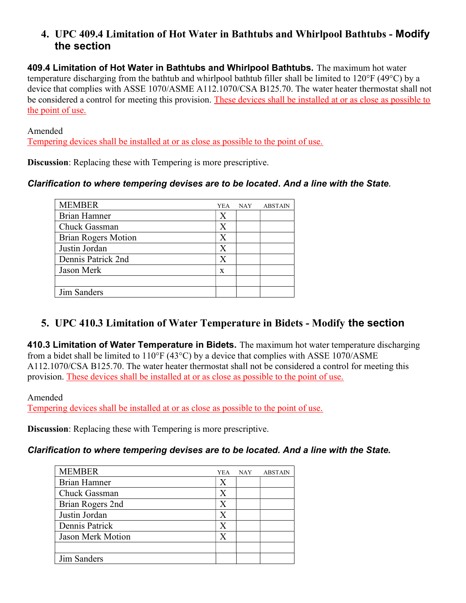## 4. UPC 409.4 Limitation of Hot Water in Bathtubs and Whirlpool Bathtubs - Modify the section

409.4 Limitation of Hot Water in Bathtubs and Whirlpool Bathtubs. The maximum hot water temperature discharging from the bathtub and whirlpool bathtub filler shall be limited to 120°F (49°C) by a device that complies with ASSE 1070/ASME A112.1070/CSA B125.70. The water heater thermostat shall not be considered a control for meeting this provision. These devices shall be installed at or as close as possible to the point of use.

Amended

Tempering devices shall be installed at or as close as possible to the point of use.

Discussion: Replacing these with Tempering is more prescriptive.

## Clarification to where tempering devises are to be located. And a line with the State.

| <b>MEMBER</b>              | <b>YEA</b>     | <b>NAY</b> | <b>ABSTAIN</b> |
|----------------------------|----------------|------------|----------------|
| <b>Brian Hamner</b>        | X              |            |                |
| Chuck Gassman              | X              |            |                |
| <b>Brian Rogers Motion</b> | X              |            |                |
| Justin Jordan              | X              |            |                |
| Dennis Patrick 2nd         | X              |            |                |
| Jason Merk                 | $\overline{X}$ |            |                |
|                            |                |            |                |
| Jim Sanders                |                |            |                |

## 5. UPC 410.3 Limitation of Water Temperature in Bidets - Modify the section

410.3 Limitation of Water Temperature in Bidets. The maximum hot water temperature discharging from a bidet shall be limited to  $110\text{°F}$  (43°C) by a device that complies with ASSE 1070/ASME A112.1070/CSA B125.70. The water heater thermostat shall not be considered a control for meeting this provision. These devices shall be installed at or as close as possible to the point of use.

Amended

Tempering devices shall be installed at or as close as possible to the point of use.

Discussion: Replacing these with Tempering is more prescriptive.

## Clarification to where tempering devises are to be located. And a line with the State.

| <b>MEMBER</b>       | <b>YEA</b> | <b>NAY</b> | <b>ABSTAIN</b> |
|---------------------|------------|------------|----------------|
| <b>Brian Hamner</b> | X          |            |                |
| Chuck Gassman       | X          |            |                |
| Brian Rogers 2nd    | X          |            |                |
| Justin Jordan       | X          |            |                |
| Dennis Patrick      | X          |            |                |
| Jason Merk Motion   | X          |            |                |
|                     |            |            |                |
| Jim Sanders         |            |            |                |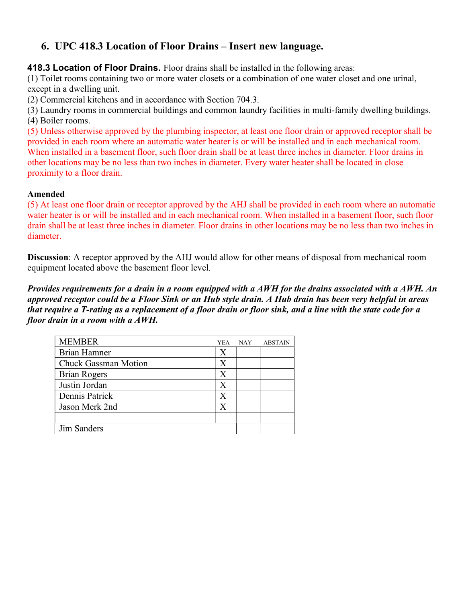## 6. UPC 418.3 Location of Floor Drains – Insert new language.

418.3 Location of Floor Drains. Floor drains shall be installed in the following areas:

(1) Toilet rooms containing two or more water closets or a combination of one water closet and one urinal, except in a dwelling unit.

(2) Commercial kitchens and in accordance with Section 704.3.

(3) Laundry rooms in commercial buildings and common laundry facilities in multi-family dwelling buildings. (4) Boiler rooms.

(5) Unless otherwise approved by the plumbing inspector, at least one floor drain or approved receptor shall be provided in each room where an automatic water heater is or will be installed and in each mechanical room. When installed in a basement floor, such floor drain shall be at least three inches in diameter. Floor drains in other locations may be no less than two inches in diameter. Every water heater shall be located in close proximity to a floor drain.

#### Amended

(5) At least one floor drain or receptor approved by the AHJ shall be provided in each room where an automatic water heater is or will be installed and in each mechanical room. When installed in a basement floor, such floor drain shall be at least three inches in diameter. Floor drains in other locations may be no less than two inches in diameter.

Discussion: A receptor approved by the AHJ would allow for other means of disposal from mechanical room equipment located above the basement floor level.

Provides requirements for a drain in a room equipped with a AWH for the drains associated with a AWH. An approved receptor could be a Floor Sink or an Hub style drain. A Hub drain has been very helpful in areas that require a T-rating as a replacement of a floor drain or floor sink, and a line with the state code for a floor drain in a room with a AWH.

| <b>MEMBER</b>               | YEA | NAY | <b>ABSTAIN</b> |
|-----------------------------|-----|-----|----------------|
| <b>Brian Hamner</b>         | X   |     |                |
| <b>Chuck Gassman Motion</b> | Х   |     |                |
| <b>Brian Rogers</b>         | Х   |     |                |
| Justin Jordan               | X   |     |                |
| Dennis Patrick              | X   |     |                |
| Jason Merk 2nd              | Х   |     |                |
|                             |     |     |                |
| Jim Sanders                 |     |     |                |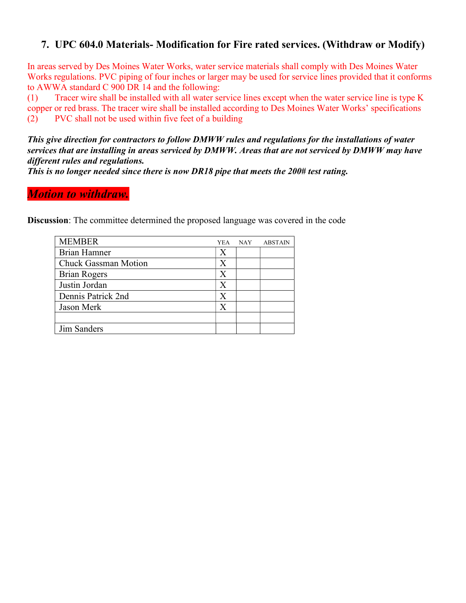## 7. UPC 604.0 Materials- Modification for Fire rated services. (Withdraw or Modify)

In areas served by Des Moines Water Works, water service materials shall comply with Des Moines Water Works regulations. PVC piping of four inches or larger may be used for service lines provided that it conforms to AWWA standard C 900 DR 14 and the following:

(1) Tracer wire shall be installed with all water service lines except when the water service line is type K copper or red brass. The tracer wire shall be installed according to Des Moines Water Works' specifications (2) PVC shall not be used within five feet of a building

This give direction for contractors to follow DMWW rules and regulations for the installations of water services that are installing in areas serviced by DMWW. Areas that are not serviced by DMWW may have different rules and regulations.

This is no longer needed since there is now DR18 pipe that meets the 200# test rating.

## **Motion to withdraw.**

Discussion: The committee determined the proposed language was covered in the code

| <b>MEMBER</b>               | YEA.           | <b>NAY</b> | <b>ABSTAIN</b> |
|-----------------------------|----------------|------------|----------------|
| Brian Hamner                | Х              |            |                |
| <b>Chuck Gassman Motion</b> | Х              |            |                |
| <b>Brian Rogers</b>         | X              |            |                |
| Justin Jordan               | $\overline{X}$ |            |                |
| Dennis Patrick 2nd          | X              |            |                |
| Jason Merk                  | X              |            |                |
|                             |                |            |                |
| Jim Sanders                 |                |            |                |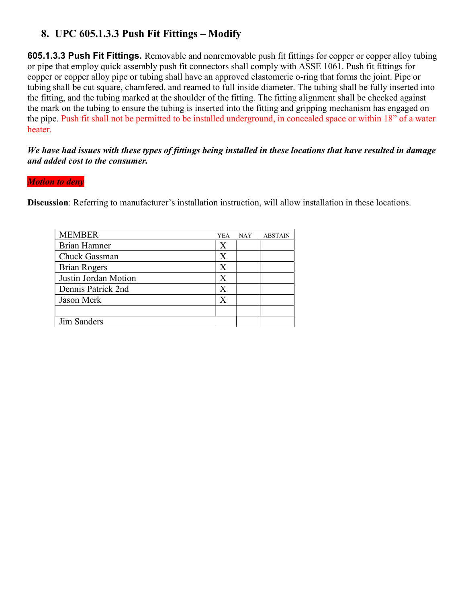## 8. UPC 605.1.3.3 Push Fit Fittings – Modify

605.1.3.3 Push Fit Fittings. Removable and nonremovable push fit fittings for copper or copper alloy tubing or pipe that employ quick assembly push fit connectors shall comply with ASSE 1061. Push fit fittings for copper or copper alloy pipe or tubing shall have an approved elastomeric o-ring that forms the joint. Pipe or tubing shall be cut square, chamfered, and reamed to full inside diameter. The tubing shall be fully inserted into the fitting, and the tubing marked at the shoulder of the fitting. The fitting alignment shall be checked against the mark on the tubing to ensure the tubing is inserted into the fitting and gripping mechanism has engaged on the pipe. Push fit shall not be permitted to be installed underground, in concealed space or within 18" of a water heater.

### We have had issues with these types of fittings being installed in these locations that have resulted in damage and added cost to the consumer.

#### **Motion to deny**

Discussion: Referring to manufacturer's installation instruction, will allow installation in these locations.

| <b>MEMBER</b>        | <b>YEA</b> | <b>NAY</b> | <b>ABSTAIN</b> |
|----------------------|------------|------------|----------------|
| <b>Brian Hamner</b>  | X          |            |                |
| Chuck Gassman        | X          |            |                |
| <b>Brian Rogers</b>  | Х          |            |                |
| Justin Jordan Motion | $\rm X$    |            |                |
| Dennis Patrick 2nd   | Х          |            |                |
| Jason Merk           | X          |            |                |
|                      |            |            |                |
| Jim Sanders          |            |            |                |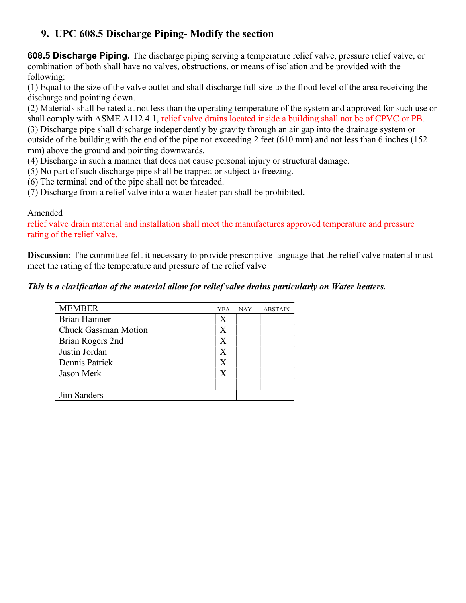# 9. UPC 608.5 Discharge Piping- Modify the section

608.5 Discharge Piping. The discharge piping serving a temperature relief valve, pressure relief valve, or combination of both shall have no valves, obstructions, or means of isolation and be provided with the following:

(1) Equal to the size of the valve outlet and shall discharge full size to the flood level of the area receiving the discharge and pointing down.

(2) Materials shall be rated at not less than the operating temperature of the system and approved for such use or shall comply with ASME A112.4.1, relief valve drains located inside a building shall not be of CPVC or PB.

(3) Discharge pipe shall discharge independently by gravity through an air gap into the drainage system or outside of the building with the end of the pipe not exceeding 2 feet (610 mm) and not less than 6 inches (152 mm) above the ground and pointing downwards.

- (4) Discharge in such a manner that does not cause personal injury or structural damage.
- (5) No part of such discharge pipe shall be trapped or subject to freezing.
- (6) The terminal end of the pipe shall not be threaded.
- (7) Discharge from a relief valve into a water heater pan shall be prohibited.

### Amended

relief valve drain material and installation shall meet the manufactures approved temperature and pressure rating of the relief valve.

Discussion: The committee felt it necessary to provide prescriptive language that the relief valve material must meet the rating of the temperature and pressure of the relief valve

### This is a clarification of the material allow for relief valve drains particularly on Water heaters.

| <b>MEMBER</b>               | <b>YEA</b> | <b>NAY</b> | <b>ABSTAIN</b> |
|-----------------------------|------------|------------|----------------|
| Brian Hamner                | Х          |            |                |
| <b>Chuck Gassman Motion</b> | X          |            |                |
| Brian Rogers 2nd            | X          |            |                |
| Justin Jordan               | X          |            |                |
| Dennis Patrick              | X          |            |                |
| Jason Merk                  | X          |            |                |
|                             |            |            |                |
| Jim Sanders                 |            |            |                |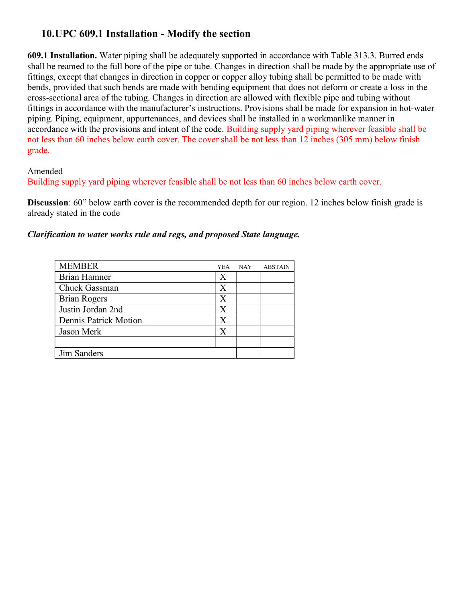## 10.UPC 609.1 Installation - Modify the section

609.1 Installation. Water piping shall be adequately supported in accordance with Table 313.3. Burred ends shall be reamed to the full bore of the pipe or tube. Changes in direction shall be made by the appropriate use of fittings, except that changes in direction in copper or copper alloy tubing shall be permitted to be made with bends, provided that such bends are made with bending equipment that does not deform or create a loss in the cross-sectional area of the tubing. Changes in direction are allowed with flexible pipe and tubing without fittings in accordance with the manufacturer's instructions. Provisions shall be made for expansion in hot-water piping. Piping, equipment, appurtenances, and devices shall be installed in a workmanlike manner in accordance with the provisions and intent of the code. Building supply yard piping wherever feasible shall be not less than 60 inches below earth cover. The cover shall be not less than 12 inches (305 mm) below finish grade.

Amended

Building supply yard piping wherever feasible shall be not less than 60 inches below earth cover.

Discussion: 60" below earth cover is the recommended depth for our region. 12 inches below finish grade is already stated in the code

#### Clarification to water works rule and regs, and proposed State language.

| <b>MEMBER</b>         | YEA | <b>NAY</b> | <b>ABSTAIN</b> |
|-----------------------|-----|------------|----------------|
| Brian Hamner          | Х   |            |                |
| Chuck Gassman         | X   |            |                |
| <b>Brian Rogers</b>   | X   |            |                |
| Justin Jordan 2nd     | X   |            |                |
| Dennis Patrick Motion | X   |            |                |
| Jason Merk            | X   |            |                |
|                       |     |            |                |
| Jim Sanders           |     |            |                |
|                       |     |            |                |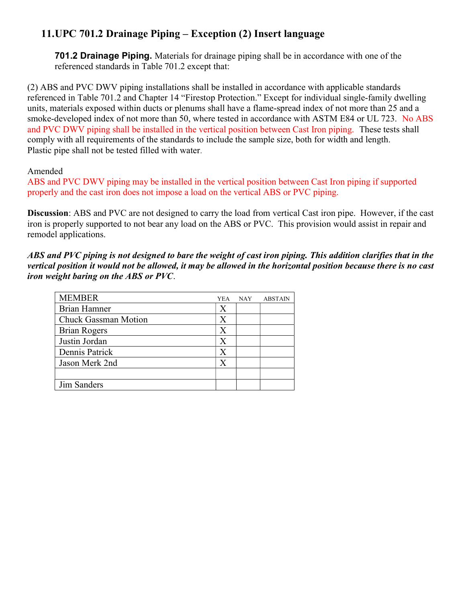# 11.UPC 701.2 Drainage Piping – Exception (2) Insert language

701.2 Drainage Piping. Materials for drainage piping shall be in accordance with one of the referenced standards in Table 701.2 except that:

(2) ABS and PVC DWV piping installations shall be installed in accordance with applicable standards referenced in Table 701.2 and Chapter 14 "Firestop Protection." Except for individual single-family dwelling units, materials exposed within ducts or plenums shall have a flame-spread index of not more than 25 and a smoke-developed index of not more than 50, where tested in accordance with ASTM E84 or UL 723. No ABS and PVC DWV piping shall be installed in the vertical position between Cast Iron piping. These tests shall comply with all requirements of the standards to include the sample size, both for width and length. Plastic pipe shall not be tested filled with water.

#### Amended

ABS and PVC DWV piping may be installed in the vertical position between Cast Iron piping if supported properly and the cast iron does not impose a load on the vertical ABS or PVC piping.

Discussion: ABS and PVC are not designed to carry the load from vertical Cast iron pipe. However, if the cast iron is properly supported to not bear any load on the ABS or PVC. This provision would assist in repair and remodel applications.

ABS and PVC piping is not designed to bare the weight of cast iron piping. This addition clarifies that in the vertical position it would not be allowed, it may be allowed in the horizontal position because there is no cast iron weight baring on the ABS or PVC.

| <b>MEMBER</b>               | YEA. | <b>NAY</b> | <b>ABSTAIN</b> |
|-----------------------------|------|------------|----------------|
| Brian Hamner                | Х    |            |                |
| <b>Chuck Gassman Motion</b> | Х    |            |                |
| <b>Brian Rogers</b>         | X    |            |                |
| Justin Jordan               | X    |            |                |
| Dennis Patrick              | X    |            |                |
| Jason Merk 2nd              | X    |            |                |
|                             |      |            |                |
| Jim Sanders                 |      |            |                |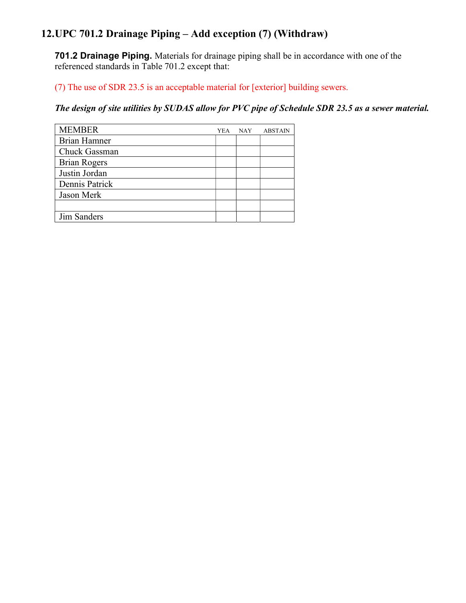# 12.UPC 701.2 Drainage Piping – Add exception (7) (Withdraw)

701.2 Drainage Piping. Materials for drainage piping shall be in accordance with one of the referenced standards in Table 701.2 except that:

(7) The use of SDR 23.5 is an acceptable material for [exterior] building sewers.

The design of site utilities by SUDAS allow for PVC pipe of Schedule SDR 23.5 as a sewer material.

| <b>MEMBER</b>       | YEA | <b>NAY</b> | <b>ABSTAIN</b> |
|---------------------|-----|------------|----------------|
| <b>Brian Hamner</b> |     |            |                |
| Chuck Gassman       |     |            |                |
| <b>Brian Rogers</b> |     |            |                |
| Justin Jordan       |     |            |                |
| Dennis Patrick      |     |            |                |
| Jason Merk          |     |            |                |
|                     |     |            |                |
| Jim Sanders         |     |            |                |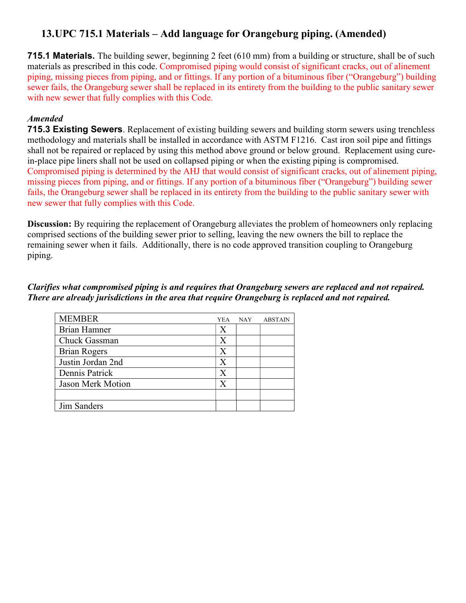# 13.UPC 715.1 Materials – Add language for Orangeburg piping. (Amended)

**715.1 Materials.** The building sewer, beginning 2 feet (610 mm) from a building or structure, shall be of such materials as prescribed in this code. Compromised piping would consist of significant cracks, out of alinement piping, missing pieces from piping, and or fittings. If any portion of a bituminous fiber ("Orangeburg") building sewer fails, the Orangeburg sewer shall be replaced in its entirety from the building to the public sanitary sewer with new sewer that fully complies with this Code.

## Amended

715.3 Existing Sewers. Replacement of existing building sewers and building storm sewers using trenchless methodology and materials shall be installed in accordance with ASTM F1216. Cast iron soil pipe and fittings shall not be repaired or replaced by using this method above ground or below ground. Replacement using curein-place pipe liners shall not be used on collapsed piping or when the existing piping is compromised. Compromised piping is determined by the AHJ that would consist of significant cracks, out of alinement piping, missing pieces from piping, and or fittings. If any portion of a bituminous fiber ("Orangeburg") building sewer fails, the Orangeburg sewer shall be replaced in its entirety from the building to the public sanitary sewer with new sewer that fully complies with this Code.

Discussion: By requiring the replacement of Orangeburg alleviates the problem of homeowners only replacing comprised sections of the building sewer prior to selling, leaving the new owners the bill to replace the remaining sewer when it fails. Additionally, there is no code approved transition coupling to Orangeburg piping.

### Clarifies what compromised piping is and requires that Orangeburg sewers are replaced and not repaired. There are already jurisdictions in the area that require Orangeburg is replaced and not repaired.

| <b>MEMBER</b>            | YEA | <b>NAY</b> | <b>ABSTAIN</b> |
|--------------------------|-----|------------|----------------|
| <b>Brian Hamner</b>      | X   |            |                |
| Chuck Gassman            | X   |            |                |
| <b>Brian Rogers</b>      | Х   |            |                |
| Justin Jordan 2nd        | X   |            |                |
| Dennis Patrick           | X   |            |                |
| <b>Jason Merk Motion</b> | Х   |            |                |
|                          |     |            |                |
| Jim Sanders              |     |            |                |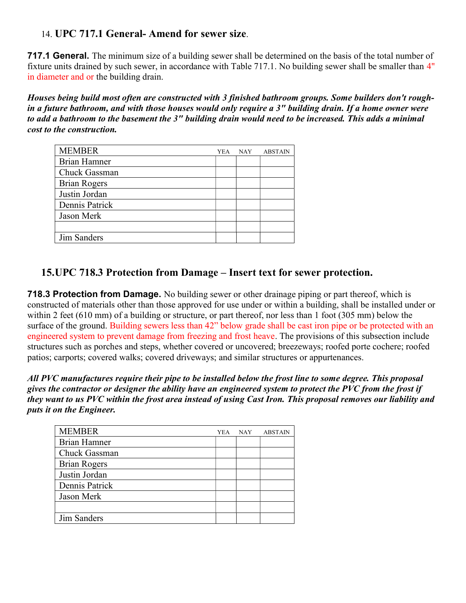## 14. UPC 717.1 General- Amend for sewer size.

717.1 General. The minimum size of a building sewer shall be determined on the basis of the total number of fixture units drained by such sewer, in accordance with Table 717.1. No building sewer shall be smaller than 4" in diameter and or the building drain.

Houses being build most often are constructed with 3 finished bathroom groups. Some builders don't roughin a future bathroom, and with those houses would only require a 3" building drain. If a home owner were to add a bathroom to the basement the 3" building drain would need to be increased. This adds a minimal cost to the construction.

| <b>MEMBER</b>       | YEA | <b>NAY</b> | <b>ABSTAIN</b> |
|---------------------|-----|------------|----------------|
| <b>Brian Hamner</b> |     |            |                |
| Chuck Gassman       |     |            |                |
| <b>Brian Rogers</b> |     |            |                |
| Justin Jordan       |     |            |                |
| Dennis Patrick      |     |            |                |
| Jason Merk          |     |            |                |
|                     |     |            |                |
| <b>Jim Sanders</b>  |     |            |                |

## 15.UPC 718.3 Protection from Damage – Insert text for sewer protection.

**718.3 Protection from Damage.** No building sewer or other drainage piping or part thereof, which is constructed of materials other than those approved for use under or within a building, shall be installed under or within 2 feet (610 mm) of a building or structure, or part thereof, nor less than 1 foot (305 mm) below the surface of the ground. Building sewers less than 42" below grade shall be cast iron pipe or be protected with an engineered system to prevent damage from freezing and frost heave. The provisions of this subsection include structures such as porches and steps, whether covered or uncovered; breezeways; roofed porte cochere; roofed patios; carports; covered walks; covered driveways; and similar structures or appurtenances.

All PVC manufactures require their pipe to be installed below the frost line to some degree. This proposal gives the contractor or designer the ability have an engineered system to protect the PVC from the frost if they want to us PVC within the frost area instead of using Cast Iron. This proposal removes our liability and puts it on the Engineer.

| <b>MEMBER</b>       | YEA | <b>NAY</b> | <b>ABSTAIN</b> |
|---------------------|-----|------------|----------------|
| <b>Brian Hamner</b> |     |            |                |
| Chuck Gassman       |     |            |                |
| <b>Brian Rogers</b> |     |            |                |
| Justin Jordan       |     |            |                |
| Dennis Patrick      |     |            |                |
| Jason Merk          |     |            |                |
|                     |     |            |                |
| Jim Sanders         |     |            |                |